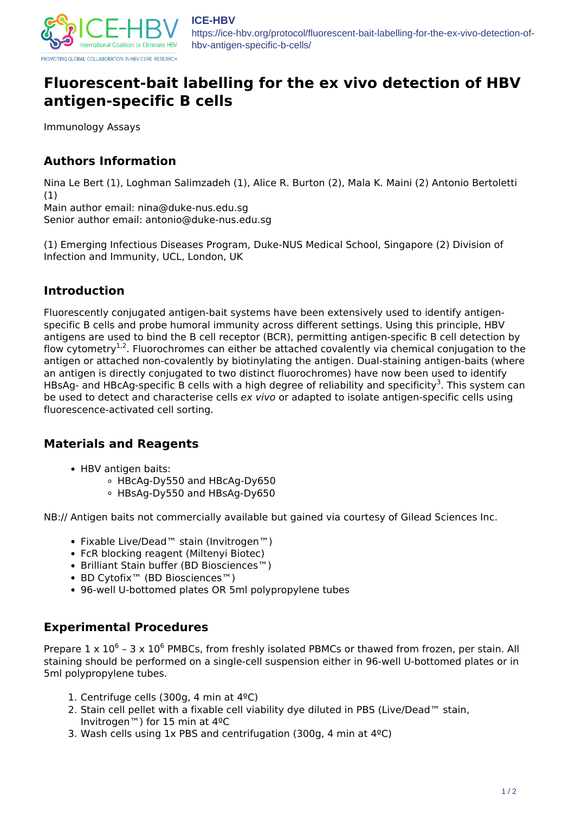

https://ice-hbv.org/protocol/fluorescent-bait-labelling-for-the-ex-vivo-detection-ofhbv-antigen-specific-b-cells/

# **Fluorescent-bait labelling for the ex vivo detection of HBV antigen-specific B cells**

Immunology Assays

# **Authors Information**

Nina Le Bert (1), Loghman Salimzadeh (1), Alice R. Burton (2), Mala K. Maini (2) Antonio Bertoletti (1)

Main author email: nina@duke-nus.edu.sg Senior author email: antonio@duke-nus.edu.sg

(1) Emerging Infectious Diseases Program, Duke-NUS Medical School, Singapore (2) Division of Infection and Immunity, UCL, London, UK

### **Introduction**

Fluorescently conjugated antigen-bait systems have been extensively used to identify antigenspecific B cells and probe humoral immunity across different settings. Using this principle, HBV antigens are used to bind the B cell receptor (BCR), permitting antigen-specific B cell detection by flow cytometry<sup>1,2</sup>. Fluorochromes can either be attached covalently via chemical conjugation to the antigen or attached non-covalently by biotinylating the antigen. Dual-staining antigen-baits (where an antigen is directly conjugated to two distinct fluorochromes) have now been used to identify HBsAg- and HBcAg-specific B cells with a high degree of reliability and specificity<sup>3</sup>. This system can be used to detect and characterise cells *ex vivo* or adapted to isolate antigen-specific cells using fluorescence-activated cell sorting.

# **Materials and Reagents**

- HBV antigen baits:
	- HBcAg-Dy550 and HBcAg-Dy650
	- HBsAg-Dy550 and HBsAg-Dy650

NB:// Antigen baits not commercially available but gained via courtesy of Gilead Sciences Inc.

- Fixable Live/Dead™ stain (Invitrogen™)
- FcR blocking reagent (Miltenyi Biotec)
- Brilliant Stain buffer (BD Biosciences™)
- BD Cytofix™ (BD Biosciences™)
- 96-well U-bottomed plates OR 5ml polypropylene tubes

#### **Experimental Procedures**

Prepare  $1 \times 10^6$  - 3 x  $10^6$  PMBCs, from freshly isolated PBMCs or thawed from frozen, per stain. All staining should be performed on a single-cell suspension either in 96-well U-bottomed plates or in 5ml polypropylene tubes.

- 1. Centrifuge cells (300g, 4 min at 4ºC)
- 2. Stain cell pellet with a fixable cell viability dye diluted in PBS (Live/Dead™ stain, Invitrogen™) for 15 min at 4ºC
- 3. Wash cells using 1x PBS and centrifugation (300g, 4 min at 4ºC)